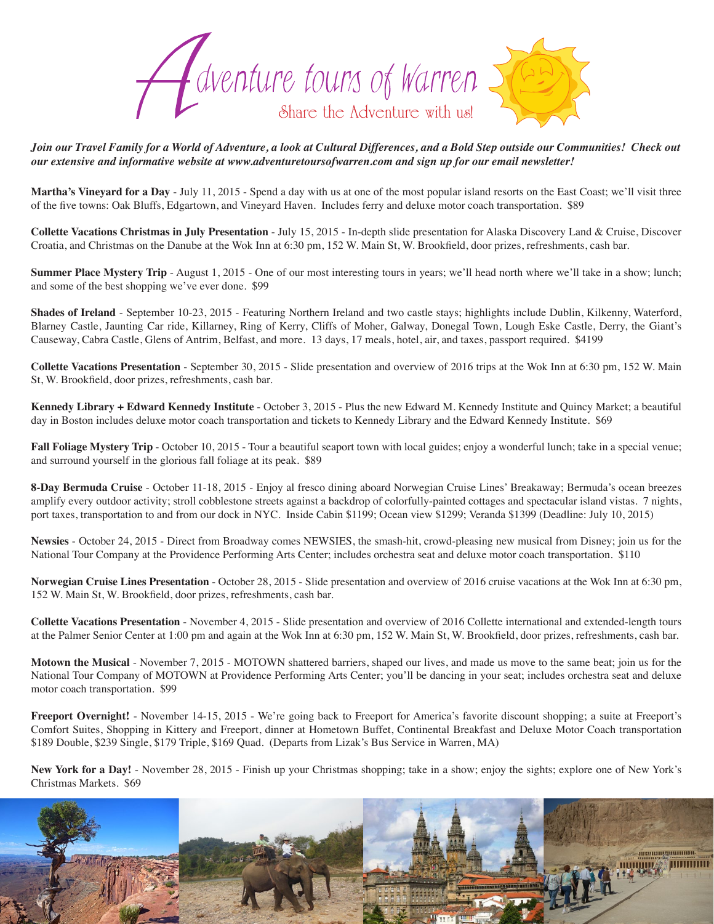

*Join our Travel Family for a World of Adventure, a look at Cultural Differences, and a Bold Step outside our Communities! Check out our extensive and informative website at www.adventuretoursofwarren.com and sign up for our email newsletter!*

**Martha's Vineyard for a Day** - July 11, 2015 - Spend a day with us at one of the most popular island resorts on the East Coast; we'll visit three of the five towns: Oak Bluffs, Edgartown, and Vineyard Haven. Includes ferry and deluxe motor coach transportation. \$89

**Collette Vacations Christmas in July Presentation** - July 15, 2015 - In-depth slide presentation for Alaska Discovery Land & Cruise, Discover Croatia, and Christmas on the Danube at the Wok Inn at 6:30 pm, 152 W. Main St, W. Brookfield, door prizes, refreshments, cash bar.

**Summer Place Mystery Trip** - August 1, 2015 - One of our most interesting tours in years; we'll head north where we'll take in a show; lunch; and some of the best shopping we've ever done. \$99

**Shades of Ireland** - September 10-23, 2015 - Featuring Northern Ireland and two castle stays; highlights include Dublin, Kilkenny, Waterford, Blarney Castle, Jaunting Car ride, Killarney, Ring of Kerry, Cliffs of Moher, Galway, Donegal Town, Lough Eske Castle, Derry, the Giant's Causeway, Cabra Castle, Glens of Antrim, Belfast, and more. 13 days, 17 meals, hotel, air, and taxes, passport required. \$4199

**Collette Vacations Presentation** - September 30, 2015 - Slide presentation and overview of 2016 trips at the Wok Inn at 6:30 pm, 152 W. Main St, W. Brookfield, door prizes, refreshments, cash bar.

**Kennedy Library + Edward Kennedy Institute** - October 3, 2015 - Plus the new Edward M. Kennedy Institute and Quincy Market; a beautiful day in Boston includes deluxe motor coach transportation and tickets to Kennedy Library and the Edward Kennedy Institute. \$69

**Fall Foliage Mystery Trip** - October 10, 2015 - Tour a beautiful seaport town with local guides; enjoy a wonderful lunch; take in a special venue; and surround yourself in the glorious fall foliage at its peak. \$89

**8-Day Bermuda Cruise** - October 11-18, 2015 - Enjoy al fresco dining aboard Norwegian Cruise Lines' Breakaway; Bermuda's ocean breezes amplify every outdoor activity; stroll cobblestone streets against a backdrop of colorfully-painted cottages and spectacular island vistas. 7 nights, port taxes, transportation to and from our dock in NYC. Inside Cabin \$1199; Ocean view \$1299; Veranda \$1399 (Deadline: July 10, 2015)

**Newsies** - October 24, 2015 - Direct from Broadway comes NEWSIES, the smash-hit, crowd-pleasing new musical from Disney; join us for the National Tour Company at the Providence Performing Arts Center; includes orchestra seat and deluxe motor coach transportation. \$110

**Norwegian Cruise Lines Presentation** - October 28, 2015 - Slide presentation and overview of 2016 cruise vacations at the Wok Inn at 6:30 pm, 152 W. Main St, W. Brookfield, door prizes, refreshments, cash bar.

**Collette Vacations Presentation** - November 4, 2015 - Slide presentation and overview of 2016 Collette international and extended-length tours at the Palmer Senior Center at 1:00 pm and again at the Wok Inn at 6:30 pm, 152 W. Main St, W. Brookfield, door prizes, refreshments, cash bar.

**Motown the Musical** - November 7, 2015 - MOTOWN shattered barriers, shaped our lives, and made us move to the same beat; join us for the National Tour Company of MOTOWN at Providence Performing Arts Center; you'll be dancing in your seat; includes orchestra seat and deluxe motor coach transportation. \$99

**Freeport Overnight!** - November 14-15, 2015 - We're going back to Freeport for America's favorite discount shopping; a suite at Freeport's Comfort Suites, Shopping in Kittery and Freeport, dinner at Hometown Buffet, Continental Breakfast and Deluxe Motor Coach transportation \$189 Double, \$239 Single, \$179 Triple, \$169 Quad. (Departs from Lizak's Bus Service in Warren, MA)

**New York for a Day!** - November 28, 2015 - Finish up your Christmas shopping; take in a show; enjoy the sights; explore one of New York's Christmas Markets. \$69